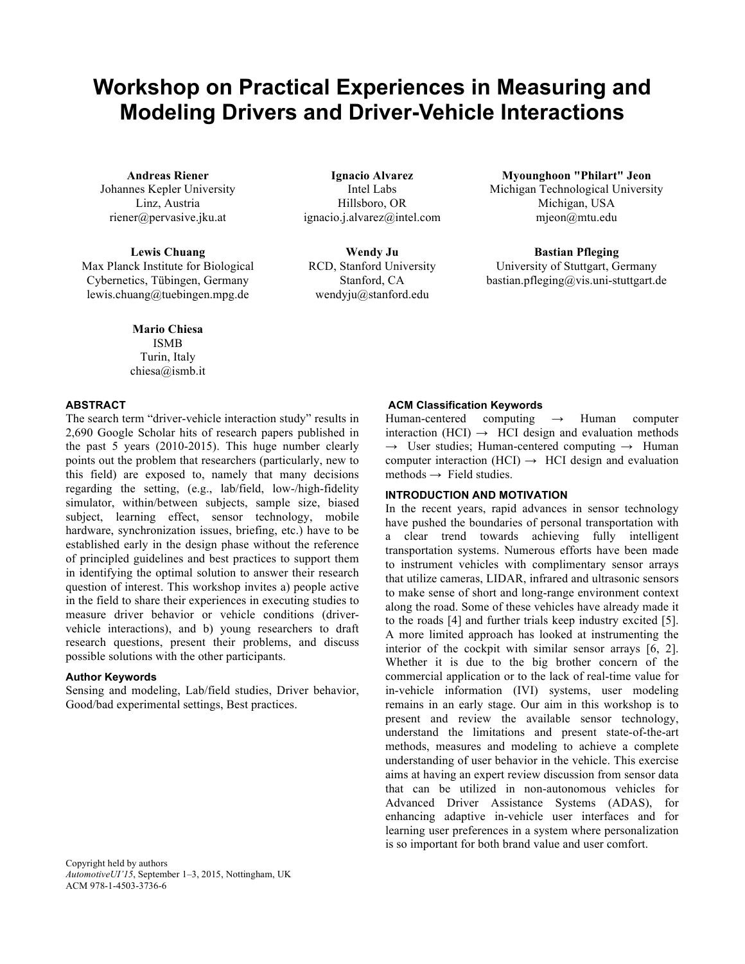# **Workshop on Practical Experiences in Measuring and Modeling Drivers and Driver-Vehicle Interactions**

**Andreas Riener**

Johannes Kepler University Linz, Austria riener@pervasive.jku.at

**Lewis Chuang**

Max Planck Institute for Biological Cybernetics, Tübingen, Germany lewis.chuang@tuebingen.mpg.de

> **Mario Chiesa** ISMB Turin, Italy chiesa@ismb.it

**ABSTRACT**

The search term "driver-vehicle interaction study" results in 2,690 Google Scholar hits of research papers published in the past 5 years (2010-2015). This huge number clearly points out the problem that researchers (particularly, new to this field) are exposed to, namely that many decisions regarding the setting, (e.g., lab/field, low-/high-fidelity simulator, within/between subjects, sample size, biased subject, learning effect, sensor technology, mobile hardware, synchronization issues, briefing, etc.) have to be established early in the design phase without the reference of principled guidelines and best practices to support them in identifying the optimal solution to answer their research question of interest. This workshop invites a) people active in the field to share their experiences in executing studies to measure driver behavior or vehicle conditions (drivervehicle interactions), and b) young researchers to draft research questions, present their problems, and discuss possible solutions with the other participants.

## **Author Keywords**

Sensing and modeling, Lab/field studies, Driver behavior, Good/bad experimental settings, Best practices.

**Ignacio Alvarez** Intel Labs Hillsboro, OR ignacio.j.alvarez@intel.com

**Wendy Ju** RCD, Stanford University Stanford, CA wendyju@stanford.edu

**Myounghoon "Philart" Jeon** Michigan Technological University Michigan, USA mjeon@mtu.edu

**Bastian Pfleging** University of Stuttgart, Germany bastian.pfleging@vis.uni-stuttgart.de

# **ACM Classification Keywords**

Human-centered computing  $\rightarrow$  Human computer interaction (HCI)  $\rightarrow$  HCI design and evaluation methods  $\rightarrow$  User studies; Human-centered computing  $\rightarrow$  Human computer interaction (HCI)  $\rightarrow$  HCI design and evaluation methods  $\rightarrow$  Field studies.

## **INTRODUCTION AND MOTIVATION**

In the recent years, rapid advances in sensor technology have pushed the boundaries of personal transportation with a clear trend towards achieving fully intelligent transportation systems. Numerous efforts have been made to instrument vehicles with complimentary sensor arrays that utilize cameras, LIDAR, infrared and ultrasonic sensors to make sense of short and long-range environment context along the road. Some of these vehicles have already made it to the roads [4] and further trials keep industry excited [5]. A more limited approach has looked at instrumenting the interior of the cockpit with similar sensor arrays [6, 2]. Whether it is due to the big brother concern of the commercial application or to the lack of real-time value for in-vehicle information (IVI) systems, user modeling remains in an early stage. Our aim in this workshop is to present and review the available sensor technology, understand the limitations and present state-of-the-art methods, measures and modeling to achieve a complete understanding of user behavior in the vehicle. This exercise aims at having an expert review discussion from sensor data that can be utilized in non-autonomous vehicles for Advanced Driver Assistance Systems (ADAS), for enhancing adaptive in-vehicle user interfaces and for learning user preferences in a system where personalization is so important for both brand value and user comfort.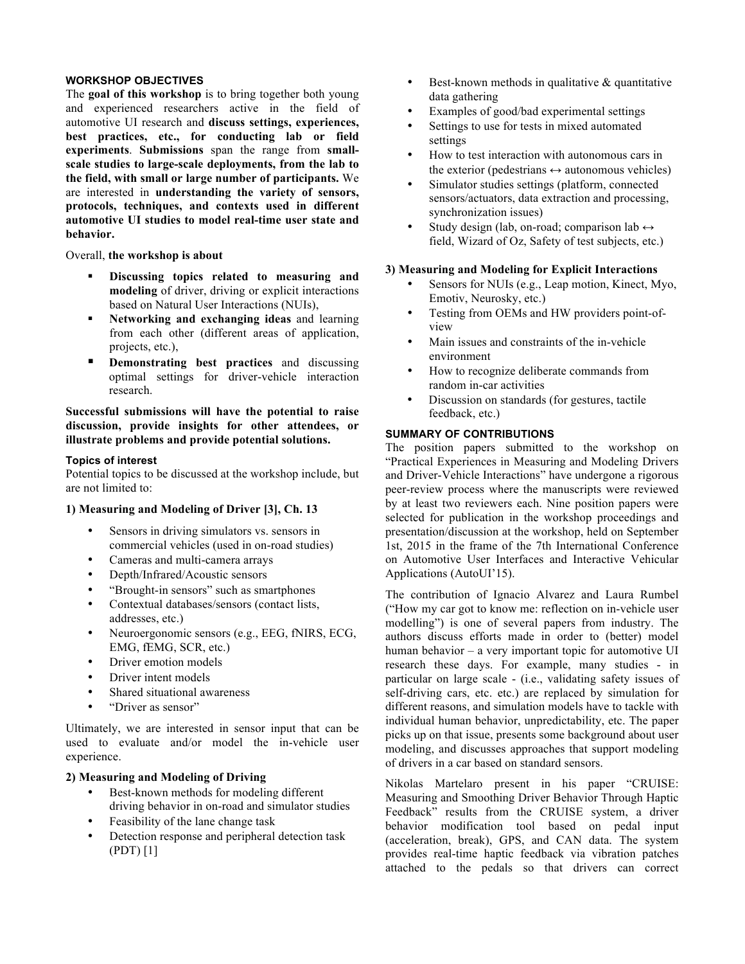## **WORKSHOP OBJECTIVES**

The **goal of this workshop** is to bring together both young and experienced researchers active in the field of automotive UI research and **discuss settings, experiences, best practices, etc., for conducting lab or field experiments**. **Submissions** span the range from **smallscale studies to large-scale deployments, from the lab to the field, with small or large number of participants.** We are interested in **understanding the variety of sensors, protocols, techniques, and contexts used in different automotive UI studies to model real-time user state and behavior.**

Overall, **the workshop is about**

- § **Discussing topics related to measuring and modeling** of driver, driving or explicit interactions based on Natural User Interactions (NUIs),
- § **Networking and exchanging ideas** and learning from each other (different areas of application, projects, etc.),
- § **Demonstrating best practices** and discussing optimal settings for driver-vehicle interaction research.

## **Successful submissions will have the potential to raise discussion, provide insights for other attendees, or illustrate problems and provide potential solutions.**

#### **Topics of interest**

Potential topics to be discussed at the workshop include, but are not limited to:

# **1) Measuring and Modeling of Driver [3], Ch. 13**

- Sensors in driving simulators vs. sensors in commercial vehicles (used in on-road studies)
- Cameras and multi-camera arrays
- Depth/Infrared/Acoustic sensors
- "Brought-in sensors" such as smartphones
- Contextual databases/sensors (contact lists, addresses, etc.)
- Neuroergonomic sensors (e.g., EEG, fNIRS, ECG, EMG, fEMG, SCR, etc.)
- Driver emotion models
- Driver intent models
- Shared situational awareness
- "Driver as sensor"

Ultimately, we are interested in sensor input that can be used to evaluate and/or model the in-vehicle user experience.

# **2) Measuring and Modeling of Driving**

- Best-known methods for modeling different driving behavior in on-road and simulator studies
- Feasibility of the lane change task
- Detection response and peripheral detection task (PDT) [1]
- Best-known methods in qualitative  $\&$  quantitative data gathering
- Examples of good/bad experimental settings
- Settings to use for tests in mixed automated settings
- How to test interaction with autonomous cars in the exterior (pedestrians  $\leftrightarrow$  autonomous vehicles)
- Simulator studies settings (platform, connected sensors/actuators, data extraction and processing, synchronization issues)
- Study design (lab, on-road; comparison lab  $\leftrightarrow$ field, Wizard of Oz, Safety of test subjects, etc.)

## **3) Measuring and Modeling for Explicit Interactions**

- Sensors for NUIs (e.g., Leap motion, Kinect, Myo, Emotiv, Neurosky, etc.)
- Testing from OEMs and HW providers point-ofview
- Main issues and constraints of the in-vehicle environment
- How to recognize deliberate commands from random in-car activities
- Discussion on standards (for gestures, tactile feedback, etc.)

## **SUMMARY OF CONTRIBUTIONS**

The position papers submitted to the workshop on "Practical Experiences in Measuring and Modeling Drivers and Driver-Vehicle Interactions" have undergone a rigorous peer-review process where the manuscripts were reviewed by at least two reviewers each. Nine position papers were selected for publication in the workshop proceedings and presentation/discussion at the workshop, held on September 1st, 2015 in the frame of the 7th International Conference on Automotive User Interfaces and Interactive Vehicular Applications (AutoUI'15).

The contribution of Ignacio Alvarez and Laura Rumbel ("How my car got to know me: reflection on in-vehicle user modelling") is one of several papers from industry. The authors discuss efforts made in order to (better) model human behavior – a very important topic for automotive UI research these days. For example, many studies - in particular on large scale - (i.e., validating safety issues of self-driving cars, etc. etc.) are replaced by simulation for different reasons, and simulation models have to tackle with individual human behavior, unpredictability, etc. The paper picks up on that issue, presents some background about user modeling, and discusses approaches that support modeling of drivers in a car based on standard sensors.

Nikolas Martelaro present in his paper "CRUISE: Measuring and Smoothing Driver Behavior Through Haptic Feedback" results from the CRUISE system, a driver behavior modification tool based on pedal input (acceleration, break), GPS, and CAN data. The system provides real-time haptic feedback via vibration patches attached to the pedals so that drivers can correct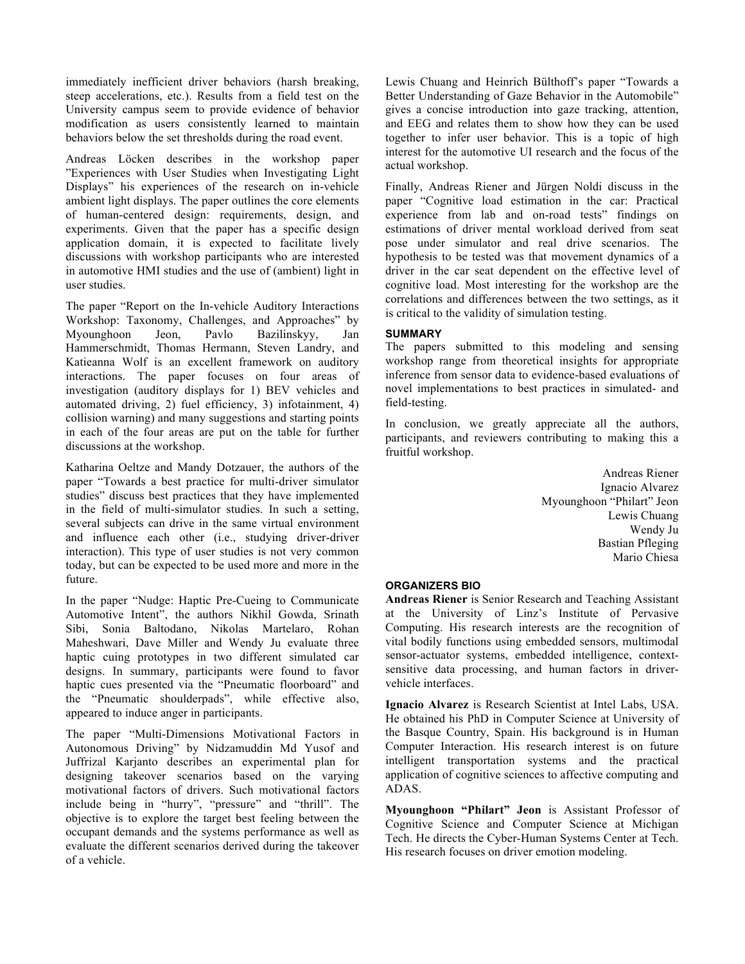immediately inefficient driver behaviors (harsh breaking, steep accelerations, etc.). Results from a field test on the University campus seem to provide evidence of behavior modification as users consistently learned to maintain behaviors below the set thresholds during the road event.

Andreas Löcken describes in the workshop paper "Experiences with User Studies when Investigating Light Displays" his experiences of the research on in-vehicle ambient light displays. The paper outlines the core elements of human-centered design: requirements, design, and experiments. Given that the paper has a specific design application domain, it is expected to facilitate lively discussions with workshop participants who are interested in automotive HMI studies and the use of (ambient) light in user studies.

The paper "Report on the In-vehicle Auditory Interactions Workshop: Taxonomy, Challenges, and Approaches" by Myounghoon Jeon, Pavlo Bazilinskyy, Jan Hammerschmidt, Thomas Hermann, Steven Landry, and Katieanna Wolf is an excellent framework on auditory interactions. The paper focuses on four areas of investigation (auditory displays for 1) BEV vehicles and automated driving, 2) fuel efficiency, 3) infotainment, 4) collision warning) and many suggestions and starting points in each of the four areas are put on the table for further discussions at the workshop.

Katharina Oeltze and Mandy Dotzauer, the authors of the paper "Towards a best practice for multi-driver simulator studies" discuss best practices that they have implemented in the field of multi-simulator studies. In such a setting, several subjects can drive in the same virtual environment and influence each other (i.e., studying driver-driver interaction). This type of user studies is not very common today, but can be expected to be used more and more in the future.

In the paper "Nudge: Haptic Pre-Cueing to Communicate Automotive Intent", the authors Nikhil Gowda, Srinath Sibi, Sonia Baltodano, Nikolas Martelaro, Rohan Maheshwari, Dave Miller and Wendy Ju evaluate three haptic cuing prototypes in two different simulated car designs. In summary, participants were found to favor haptic cues presented via the "Pneumatic floorboard" and the "Pneumatic shoulderpads", while effective also, appeared to induce anger in participants.

The paper "Multi-Dimensions Motivational Factors in Autonomous Driving" by Nidzamuddin Md Yusof and Juffrizal Karjanto describes an experimental plan for designing takeover scenarios based on the varying motivational factors of drivers. Such motivational factors include being in "hurry", "pressure" and "thrill". The objective is to explore the target best feeling between the occupant demands and the systems performance as well as evaluate the different scenarios derived during the takeover of a vehicle.

Lewis Chuang and Heinrich Bülthoff's paper "Towards a Better Understanding of Gaze Behavior in the Automobile" gives a concise introduction into gaze tracking, attention, and EEG and relates them to show how they can be used together to infer user behavior. This is a topic of high interest for the automotive UI research and the focus of the actual workshop.

Finally, Andreas Riener and Jürgen Noldi discuss in the paper "Cognitive load estimation in the car: Practical experience from lab and on-road tests" findings on estimations of driver mental workload derived from seat pose under simulator and real drive scenarios. The hypothesis to be tested was that movement dynamics of a driver in the car seat dependent on the effective level of cognitive load. Most interesting for the workshop are the correlations and differences between the two settings, as it is critical to the validity of simulation testing.

#### **SUMMARY**

The papers submitted to this modeling and sensing workshop range from theoretical insights for appropriate inference from sensor data to evidence-based evaluations of novel implementations to best practices in simulated- and field-testing.

In conclusion, we greatly appreciate all the authors, participants, and reviewers contributing to making this a fruitful workshop.

> Andreas Riener Ignacio Alvarez Myounghoon "Philart" Jeon Lewis Chuang Wendy Ju Bastian Pfleging Mario Chiesa

#### **ORGANIZERS BIO**

**Andreas Riener** is Senior Research and Teaching Assistant at the University of Linz's Institute of Pervasive Computing. His research interests are the recognition of vital bodily functions using embedded sensors, multimodal sensor-actuator systems, embedded intelligence, contextsensitive data processing, and human factors in drivervehicle interfaces.

**Ignacio Alvarez** is Research Scientist at Intel Labs, USA. He obtained his PhD in Computer Science at University of the Basque Country, Spain. His background is in Human Computer Interaction. His research interest is on future intelligent transportation systems and the practical application of cognitive sciences to affective computing and ADAS.

**Myounghoon "Philart" Jeon** is Assistant Professor of Cognitive Science and Computer Science at Michigan Tech. He directs the Cyber-Human Systems Center at Tech. His research focuses on driver emotion modeling.